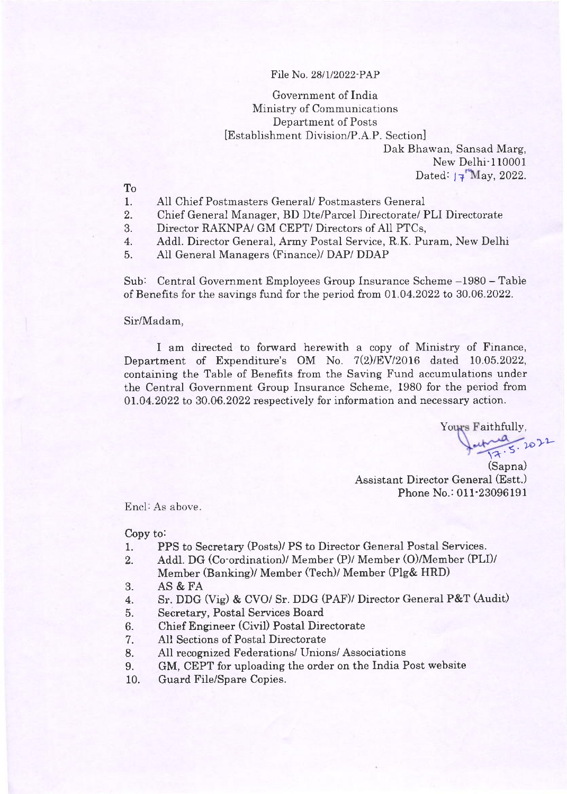#### File No. 28/1/2022-PAP

# Government of India Ministry of Communications Department of Posts [Establishment Division/P.A.P. Section]

Dak Bhawan, Sansad Marg, New Delhi-110001 Dated:  $\sqrt{4}$  May, 2022.

To

- 1. All Chief Postmasters General/ Postmasters General
- 2. Chief General Manager, BD Dte/Parcel Directorate/ PLI Directorate
- 3. Director RAKNPA/ GM CEPT/ Directors of All PTCs,
- 4. Addl. Director General, Army Postal Service, R.K. Puram, New Delhi
- 5. AII General Managers (Finance)/ DAP/ DDAP

Sub: Central Government Employees Group Insurance Scheme -1980 - Table of Benefits for the savings fund for the period from  $01.04.2022$  to  $30.06.2022$ .

#### Sir/Madam,

I am directed to forward herewith a copy of Ministry of Finance, Department of Expenditure's OM No. 7(2)/EV/2016 dated 10.o5.2022, containing the Table of Benefits from the Saving Fund accumulations under the Central Government Group Insurance Scheme, 1980 for the period from O1.04.2022 to 30.06.2022 respectively for information and necessary action.

Yours Faithfully,

17.5.20 (Sapna) Assistant Director General (Estt.) Phone No.: 011-23096191

Encl: As above.

Copy to:

- 1. PPS to Secretary (Posts)/ PS to Director General Postal Services.
- 2. AddI. DG (Co-ordination)/ Member (P)/ Member (O)/Member (PLI)/ Member (Banking)/ Member (Tech)/ Member (Plg& HRD)
- 3. AS &FA
- 4. Sr. DDG (Vig) & CVO/ Sr. DDG (PAF)/ Director General P&T (Audit)
- 5. Secretary, Postal Services Board
- 6. Chief Engineer (Civil) Postal Directorate<br>7. All Sections of Postal Directorate
- All Sections of Postal Directorate
- 8. AII recognized Federations/ Unions/ Associations
- 9. GM, CEPT for uploading the order on the India Post website
- 10. Guard FiIe/Spare Copies.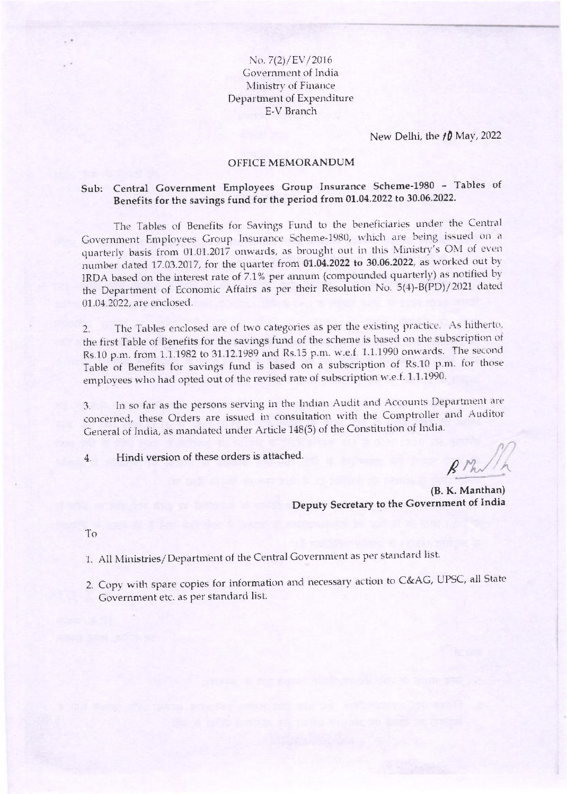No.  $7(2)/EV/2016$ Government of India Ministry of Finance Department of Expenditure E-V Branch

New Delhi, the  $10$  May, 2022

#### **OFFICE MEMORANDUM**

## Sub: Central Government Employees Group Insurance Scheme-1980 - Tables of Benefits for the savings fund for the period from 01.04.2022 to 30.06.2022.

The Tables of Benefits for Savings Fund to the beneficiaries under the Central Government Employees Group Insurance Scheme-1980, which are being issued on a quarterly basis from 01.01.2017 onwards, as brought out in this Ministry's OM of even number dated 17.03.2017, for the quarter from 01.04.2022 to 30.06.2022, as worked out by IRDA based on the interest rate of 7.1% per annum (compounded quarterly) as notified by the Department of Economic Affairs as per their Resolution No. 5(4)-B(PD)/2021 dated 01.04.2022, are enclosed.

The Tables enclosed are of two categories as per the existing practice. As hitherto,  $2$ the first Table of Benefits for the savings fund of the scheme is based on the subscription of Rs.10 p.m. from 1.1.1982 to 31.12.1989 and Rs.15 p.m. w.e.f. 1.1.1990 onwards. The second Table of Benefits for savings fund is based on a subscription of Rs.10 p.m. for those employees who had opted out of the revised rate of subscription w.e.f. 1.1.1990.

In so far as the persons serving in the Indian Audit and Accounts Department are  $3.$ concerned, these Orders are issued in consultation with the Comptroller and Auditor General of India, as mandated under Article 148(5) of the Constitution of India.

Hindi version of these orders is attached.  $4.$ 

 $(B. K. Manthan)$ Deputy Secretary to the Government of India

To

1. All Ministries/Department of the Central Government as per standard list.

2. Copy with spare copies for information and necessary action to C&AG, UPSC, all State Government etc. as per standard list.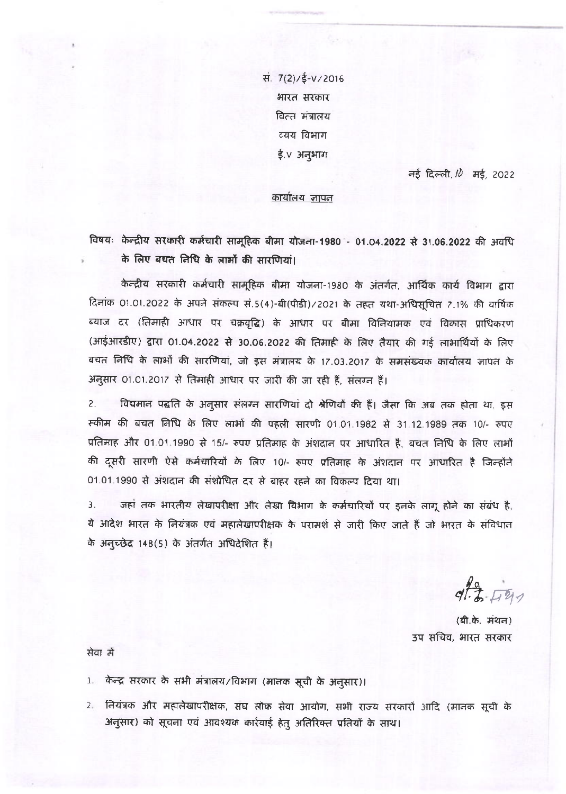सं. 7(2)/ई-V/2016 भारत सरकार वित्त मंत्रालय व्यय विभाग ई.∨ अनुभाग

नई दिल्ली,  $10$  मई, 2022

### <u>कार्यालय जापन</u>

विषयः केन्द्रीय सरकारी कर्मचारी सामूहिक बीमा योजना-1980 - 01.04.2022 से 31.06.2022 की अवधि के लिए बचत निधि के लाओं की सारणियां।

केन्द्रीय सरकारी कर्मचारी सामूहिक बीमा योजना-1980 के अंतर्गत, आर्थिक कार्य विभाग द्वारा दिनांक 01.01.2022 के अपने संकल्प सं.5(4)-बी(पीडी)/2021 के तहत यथा-अधिसूचित 7.1% की वार्षिक ब्याज दर (तिमाही आधार पर चक्रवृद्धि) के आधार पर बीमा विनियामक एवं विकास प्राधिकरण (आईआरडीए) द्वारा 01.04.2022 से 30.06.2022 की तिमाही के लिए तैयार की गई लाभार्थियों के लिए बचत निधि के लाओं की सारणियां, जो इस मंत्रालय के 17.03.2017 के समसंख्यक कार्यालय जापन के अनुसार 01.01.2017 से तिमाही आधार पर जारी की जा रही हैं, संत्रग्न हैं।

 $2.$ विद्यमान पद्धति के अनुसार संलग्न सारणियां दो श्रेणियों की हैं। जैसा कि अब तक होता था, इस स्कीम की बचत लिधि के लिए लाभों की पहली सारणी 01.01.1982 से 31.12.1989 तक 10/- रुपए प्रतिमाह और 01.01.1990 से 15/- रुपए प्रतिमाह के अंशदान पर आधारित है, बचत निधि के लिए लाभों की दूसरी सारणी ऐसे कर्मचारियों के लिए 10/- रुपए प्रतिमाह के अंशदान पर आधारित है जिन्होंने 01.01.1990 से अंशदान की संशोधित दर से बाहर रहने का विकल्प दिया था।

जहां तक भारतीय लेखापरीक्षा और लेखा विभाग के कर्मचारियों पर इनके लागू होने का संबंध है.  $\overline{3}$ . ये आदेश भारत के नियंत्रक एवं महालेखापरीक्षक के परामर्श से जारी किए जाते हैं जो भारत के संविधान के अनुच्छेद 148(5) के अंतर्गत अधिदेशित है।

 $97.3 - 1747$ 

(बी.के. मंथन) उप सचिव, भारत सरकार

सेवा में

- 1. केन्द्र सरकार के सभी मंत्रालय/विभाग (मानक सूची के अनुसार)।
- 2. नियंत्रक और महालेखापरीक्षक, संघ लोक सेवा आयोग, सभी राज्य सरकारों आदि (मानक सूची के अनुसार) को सूचना एवं आवश्यक कार्रवाई हेतु अतिरिक्त प्रतियों के साथ।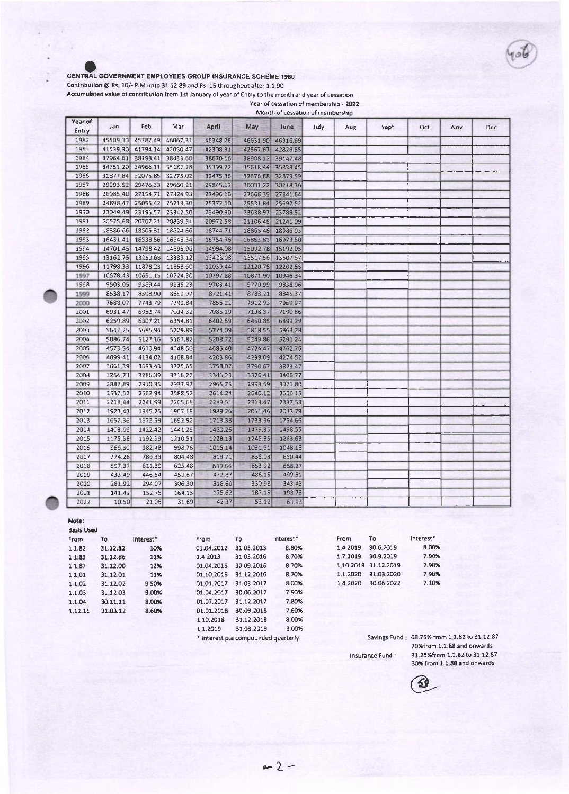#### CENTRAL GOVERNMENT EMPLOYEES GROUP INSURANCE SCHEME 1980

Contribution @ Rs. 10/- P.M upto 31.12.89 and Rs. 15 throughout after 1 1.90

Accumulated value of contribution from 1st January of year of Entry to the month and year of cessation

Year of cessation of membership - 2022 Month of cessation of membership

| Year of<br>Entry | Jan      | Feb                        | Mar               | April    | May      | June              | July | Aug | Sept | Oct | Nov | Dec |
|------------------|----------|----------------------------|-------------------|----------|----------|-------------------|------|-----|------|-----|-----|-----|
| 1982             | 45509.30 | 45787.49                   | 46067.31          | 46348.78 | 46631.90 | 46916.69          |      |     |      |     |     |     |
| 1983             |          | 41539.30 41794.14          | 42050.47          | 42308.31 | 42567.67 | 42828.55          |      |     |      |     |     |     |
| 1984             | 37964.61 | 38198.41                   | 38433.60          | 38670 16 | 38908.12 | 39147.48          |      |     |      |     |     |     |
| 1985             | 34751.20 |                            | 34966 11 35182 28 | 35399.72 |          | 35618.44 35838.45 |      |     |      |     |     |     |
| 1986             | 31877.84 | 32075 85                   | 32275.02          | 32475.36 |          | 32676 88 32879 59 |      |     |      |     |     |     |
| 1987             | 29293.52 | 29476 33                   | 29660.21          | 29845.17 |          | 30031 22 30218 36 |      |     |      |     |     |     |
| 1988             | 26985 48 |                            | 27154 71 27324 93 | 27496 16 |          | 27668.39 27841.64 |      |     |      |     |     |     |
| 1989             | 24898.47 |                            | 25055 42 25213 30 | 25372 10 | 2553184  | 25692.52          |      |     |      |     |     |     |
| 1990             | 23049.49 | 23195 57                   | 23342.50          | 23490 30 |          | 23638 97 23788 52 |      |     |      |     |     |     |
| 1991             | 20575.68 | 20707.21                   | 20839.51          | 20972.58 | 21106.45 | 21241.09          |      |     |      |     |     |     |
| 1992             | 18386.66 | 18505.31                   | 18624.66          | 18744 71 |          | 18865.46 18986.93 |      |     |      |     |     |     |
| 1993             |          | 16431 41 16538 56 16646 34 |                   | 16754 76 | 16863.81 | 16973 50          |      |     |      |     |     |     |
| 1994             |          | 14701 45 14798 42 14895 96 |                   | 14994.08 |          | 15092.78 15192.05 |      |     |      |     |     |     |
| 1995             |          | 13162.75 13250.68 13339 12 |                   | 13428.08 |          | 13517 56 13607.57 |      |     |      |     |     |     |
| 1996             |          | 11798.33 11878.23 11958 60 |                   | 12039 44 |          | 12120.75 12202.55 |      |     |      |     |     |     |
| 1997             | 10578 43 |                            | 10651 15 10724 30 | 1079788  | 10871,90 | 10946 34          |      |     |      |     |     |     |
| 1993             | 9503.05  | 9559,44                    | 9636 23           | 9703.41  | 9770.99  | 9838 96           |      |     |      |     |     |     |
| 1999             | 8538 17  | 8598.90                    | 8659 97           | 8721.41  | 8783,21  | 8845 37           |      |     |      |     |     |     |
| 2000             | 7688.07  | 7743.79                    | 7799.84           | 7856.22  | 7912.93  | 7969 97           |      |     |      |     |     |     |
| 2001             | 6931.47  | 6982,74                    | 7034.32           | 7086.19  | 7138.37  | 7190.86           |      |     |      |     |     |     |
| 2002             | 6259.89  | 6307.21                    | 6354.81           | 6402 69  | 6450.85  | 6499 29           |      |     |      |     |     |     |
| 2003             | 5642.25  | 5685.94                    | 5729.89           | 5774.09  | 5818.55  | 5863.28           |      |     |      |     |     |     |
| 2004             | 5086.74  | 5127,16                    | 5167.82           | 5208.72  | 5249.86  | 5291.24           |      |     |      |     |     |     |
| 2005             | 4573.54  | 4610.94                    | 4648.56           | 4686.40  | 4724.47  | 4762.76           |      |     |      |     |     |     |
| 2006             | 4099.41  | 4134.02                    | 4168.84           | 4203.86  | 4239.09  | 4274.52           |      |     |      |     |     |     |
| 2007             | 3661.39  | 3693.43                    | 3725.65           | 3758.07  | 3790.67  | 3823.47           |      |     |      |     |     |     |
| 2008             | 3256,73  | 3286.39                    | 3316.22           | 3346.23  | 3376.41  | 3406 77           |      |     |      |     |     |     |
| 2009             | 2882.89  | 2910.35                    | 2937.97           | 2965.75  | 2993.69  | 3021.80           |      |     |      |     |     |     |
| 2010             | 2537,52  | 2562.94                    | 2588.52           | 2614.24  | 2640.12  | 2666.15           |      |     |      |     |     |     |
| 2011             | 2218,44  | 2241.99                    | 2265.68           | 2289.51  | 2313.47  | 2337.58           |      |     |      |     |     |     |
| 2012             | 1923.43  | 1945.25                    | 1967.19           | 1989.26  | 2011.46  | 2033.79           |      |     |      |     |     |     |
| 2013             | 1652,36  | 1672.58                    | 1692 92           | 1713.38  | 1733 96  | 1754 66           |      |     |      |     |     |     |
| 2014             | 1403.66  | 1422.42                    | 1441.29           | 1460.26  | 1479.35  | 1498.55           |      |     |      |     |     |     |
| 2015             | 1175.58  | 1192.99                    | 1210 51           | 1228.13  | 1245.85  | 1263.68           |      |     |      |     |     |     |
| 2016             | 966.30   | 982.48                     | 998 76            | 1015 14  | 1031,61  | 1048.18           |      |     |      |     |     |     |
| 2017             | 774.28   | 789.33                     | 804.48            | 819.71   | 835.03   | 850.44            |      |     |      |     |     |     |
| 2018             | 597.37   | 611.39                     | 625.48            | 639.66   | 653.92   | 668.27            |      |     |      |     |     |     |
| 2019             | 433 49   | 446 54                     | 459.67            | 472.87   | 486.15   | 499 51            |      |     |      |     |     |     |
| 2020             | 28192    | 294 07                     | 306.30            | 318.60   | 330.98   | 343.43            |      |     |      |     |     |     |
| 2021             | 141.42   | 152.75                     | 164.15            | 175.62   | 187 15   | 19875             |      |     |      |     |     |     |
| 2022             | 10.50    | 21.06                      | 31.69             | 42.37    | 53.12    | 63.93             |      |     |      |     |     |     |

Interest"

8.80%

8.70%

8.70%

8.70%

8.00%

7.90%

7.80%

7.60%

#### Note:

| <b>Basis Used</b> |          |                       |            |            |
|-------------------|----------|-----------------------|------------|------------|
| From              | Т٥       | Interest <sup>*</sup> | From       | To         |
| 1.1.82            | 31.12.82 | 10%                   | 01.04.2012 | 31.03.2013 |
| 1.1.83            | 31.12.86 | 11%                   | 1.4.2013   | 31.03.2016 |
| 1.1.87            | 31.12.00 | 12%                   | 01.04.2016 | 30.09.2016 |
| 1.1.01            | 31.12.01 | 11%                   | 01.10.2016 | 31.12.2016 |
| 1.102             | 31.12.02 | 9.50%                 | 01.01.2017 | 31.03.2017 |
| 1.1.03            | 31.12.03 | 9.00%                 | 01.04.2017 | 30.06.2017 |
| 1.1.04            | 30.11.11 | 8.00%                 | 01.07.2017 | 31.12.2017 |
| 1.12.11           | 31.03.12 | 8.60%                 | 01.01.2018 | 30.09.2018 |
|                   |          |                       | 1.10.2018  | 31.12.2018 |
|                   |          |                       |            |            |

31.12.2018 8.00% 31.03.2019 **B.00%** 1.1.2019 \* interest p.a compounded quarterly

| From     | To                   | Interest" |
|----------|----------------------|-----------|
| 1.4.2019 | 30.6.2019            | 8.00%     |
| 1.7.2019 | 30.9.2019            | 7.90%     |
|          | 1.10.2019 31.12.2019 | 7.90%     |
| 1.1.2020 | 31.03.2020           | 7.90%     |
| 1.4.2020 | 30.06.2022           | 7.10%     |
|          |                      |           |

Savings Fund : 68.75% from 1.1.82 to 31.12.87 70%from 1.1.88 and onwards 31.25%from 1.1.82 to 31.12.87 Insurance Fund : 30% from 1.1.88 and onwards